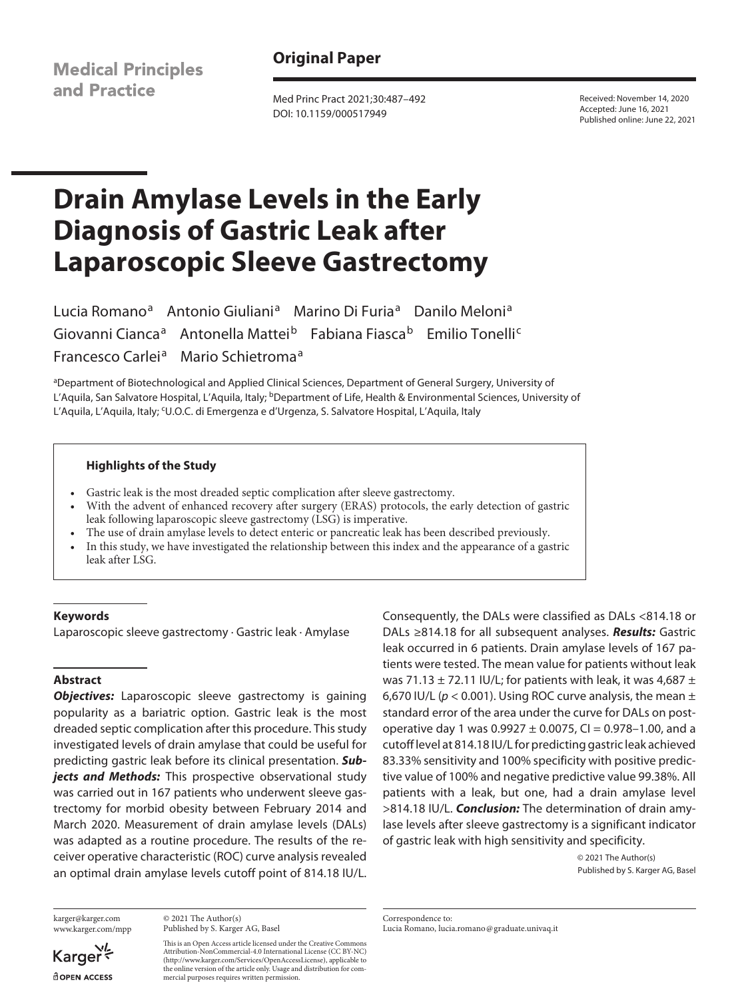**Medical Principles** and Practice

# **Original Paper**

Med Princ Pract 2021;30:487–492 DOI: 10.1159/000517949

Received: November 14, 2020 Accepted: June 16, 2021 Published online: June 22, 2021

# **Drain Amylase Levels in the Early Diagnosis of Gastric Leak after Laparoscopic Sleeve Gastrectomy**

Lucia Romano<sup>a</sup> Antonio Giuliani<sup>a</sup> Marino Di Furia<sup>a</sup> Danilo Meloni<sup>a</sup> Giovanni Cianca<sup>a</sup> Antonella Mattei<sup>b</sup> Fabiana Fiasca<sup>b</sup> Emilio Tonelli<sup>c</sup> Francesco Carlei<sup>a</sup> Mario Schietroma<sup>a</sup>

aDepartment of Biotechnological and Applied Clinical Sciences, Department of General Surgery, University of L'Aquila, San Salvatore Hospital, L'Aquila, Italy; <sup>b</sup>Department of Life, Health & Environmental Sciences, University of L'Aquila, L'Aquila, Italy; <sup>c</sup>U.O.C. di Emergenza e d'Urgenza, S. Salvatore Hospital, L'Aquila, Italy

#### **Highlights of the Study**

- Gastric leak is the most dreaded septic complication after sleeve gastrectomy.
- With the advent of enhanced recovery after surgery (ERAS) protocols, the early detection of gastric leak following laparoscopic sleeve gastrectomy (LSG) is imperative.
- The use of drain amylase levels to detect enteric or pancreatic leak has been described previously.
- In this study, we have investigated the relationship between this index and the appearance of a gastric leak after LSG.

#### **Keywords**

Laparoscopic sleeve gastrectomy · Gastric leak · Amylase

# **Abstract**

**Objectives:** Laparoscopic sleeve gastrectomy is gaining popularity as a bariatric option. Gastric leak is the most dreaded septic complication after this procedure. This study investigated levels of drain amylase that could be useful for predicting gastric leak before its clinical presentation. *Subjects and Methods:* This prospective observational study was carried out in 167 patients who underwent sleeve gastrectomy for morbid obesity between February 2014 and March 2020. Measurement of drain amylase levels (DALs) was adapted as a routine procedure. The results of the receiver operative characteristic (ROC) curve analysis revealed an optimal drain amylase levels cutoff point of 814.18 IU/L.

karger@karger.com www.karger.com/mpp

© 2021 The Author(s) Published by S. Karger AG, Basel

This is an Open Access article licensed under the Creative Commons Attribution-NonCommercial-4.0 International License (CC BY-NC) (http://www.karger.com/Services/OpenAccessLicense), applicable to the online version of the article only. Usage and distribution for commercial purposes requires written permission.

Consequently, the DALs were classified as DALs <814.18 or DALs ≥814.18 for all subsequent analyses. *Results:* Gastric leak occurred in 6 patients. Drain amylase levels of 167 patients were tested. The mean value for patients without leak was 71.13  $\pm$  72.11 IU/L; for patients with leak, it was 4,687  $\pm$ 6,670 IU/L ( $p < 0.001$ ). Using ROC curve analysis, the mean  $\pm$ standard error of the area under the curve for DALs on postoperative day 1 was  $0.9927 \pm 0.0075$ , CI = 0.978-1.00, and a cutoff level at 814.18 IU/L for predicting gastric leak achieved 83.33% sensitivity and 100% specificity with positive predictive value of 100% and negative predictive value 99.38%. All patients with a leak, but one, had a drain amylase level >814.18 IU/L. *Conclusion:* The determination of drain amylase levels after sleeve gastrectomy is a significant indicator of gastric leak with high sensitivity and specificity.

> © 2021 The Author(s) Published by S. Karger AG, Basel

Correspondence to: Lucia Romano, lucia.romano@graduate.univaq.it

Karger dopen Access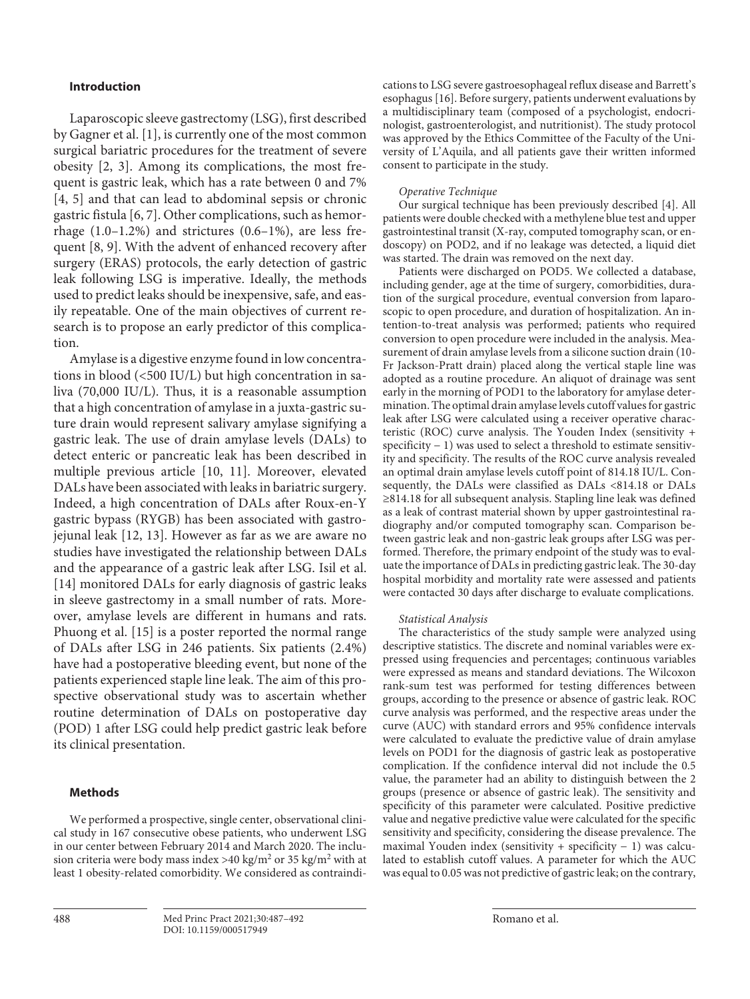#### **Introduction**

<span id="page-1-3"></span><span id="page-1-2"></span><span id="page-1-1"></span><span id="page-1-0"></span>Laparoscopic sleeve gastrectomy (LSG), first described by Gagner et al. [\[1\]](#page-5-0), is currently one of the most common surgical bariatric procedures for the treatment of severe obesity [[2](#page-5-1), [3](#page-5-2)]. Among its complications, the most frequent is gastric leak, which has a rate between 0 and 7% [\[4,](#page-5-3) [5\]](#page-5-4) and that can lead to abdominal sepsis or chronic gastric fistula [\[6,](#page-5-5) [7\]](#page-5-6). Other complications, such as hemorrhage  $(1.0-1.2\%)$  and strictures  $(0.6-1\%)$ , are less frequent [\[8,](#page-5-7) [9](#page-5-8)]. With the advent of enhanced recovery after surgery (ERAS) protocols, the early detection of gastric leak following LSG is imperative. Ideally, the methods used to predict leaks should be inexpensive, safe, and easily repeatable. One of the main objectives of current research is to propose an early predictor of this complication.

<span id="page-1-6"></span><span id="page-1-5"></span><span id="page-1-4"></span>Amylase is a digestive enzyme found in low concentrations in blood (<500 IU/L) but high concentration in saliva (70,000 IU/L). Thus, it is a reasonable assumption that a high concentration of amylase in a juxta-gastric suture drain would represent salivary amylase signifying a gastric leak. The use of drain amylase levels (DALs) to detect enteric or pancreatic leak has been described in multiple previous article [\[1](#page-5-0)0, [11\]](#page-5-0). Moreover, elevated DALs have been associated with leaks in bariatric surgery. Indeed, a high concentration of DALs after Roux-en-Y gastric bypass (RYGB) has been associated with gastrojejunal leak [\[1](#page-5-0)[2,](#page-5-1) [1](#page-5-0)[3\]](#page-5-2). However as far as we are aware no studies have investigated the relationship between DALs and the appearance of a gastric leak after LSG. Isil et al. [\[1](#page-5-0)[4\]](#page-5-3) monitored DALs for early diagnosis of gastric leaks in sleeve gastrectomy in a small number of rats. Moreover, amylase levels are different in humans and rats. Phuong et al. [[1](#page-5-0)[5\]](#page-5-4) is a poster reported the normal range of DALs after LSG in 246 patients. Six patients (2.4%) have had a postoperative bleeding event, but none of the patients experienced staple line leak. The aim of this prospective observational study was to ascertain whether routine determination of DALs on postoperative day (POD) 1 after LSG could help predict gastric leak before its clinical presentation.

#### <span id="page-1-8"></span><span id="page-1-7"></span>**Methods**

We performed a prospective, single center, observational clinical study in 167 consecutive obese patients, who underwent LSG in our center between February 2014 and March 2020. The inclusion criteria were body mass index >40 kg/m<sup>2</sup> or 35 kg/m<sup>2</sup> with at least 1 obesity-related comorbidity. We considered as contraindi<span id="page-1-9"></span>cations to LSG severe gastroesophageal reflux disease and Barrett's esophagus [[1](#page-5-0)[6\]](#page-5-5). Before surgery, patients underwent evaluations by a multidisciplinary team (composed of a psychologist, endocrinologist, gastroenterologist, and nutritionist). The study protocol was approved by the Ethics Committee of the Faculty of the University of L'Aquila, and all patients gave their written informed consent to participate in the study.

#### *Operative Technique*

Our surgical technique has been previously described [[4](#page-5-3)]. All patients were double checked with a methylene blue test and upper gastrointestinal transit (X-ray, computed tomography scan, or endoscopy) on POD2, and if no leakage was detected, a liquid diet was started. The drain was removed on the next day.

Patients were discharged on POD5. We collected a database, including gender, age at the time of surgery, comorbidities, duration of the surgical procedure, eventual conversion from laparoscopic to open procedure, and duration of hospitalization. An intention-to-treat analysis was performed; patients who required conversion to open procedure were included in the analysis. Measurement of drain amylase levels from a silicone suction drain (10- Fr Jackson-Pratt drain) placed along the vertical staple line was adopted as a routine procedure. An aliquot of drainage was sent early in the morning of POD1 to the laboratory for amylase determination. The optimal drain amylase levels cutoff values for gastric leak after LSG were calculated using a receiver operative characteristic (ROC) curve analysis. The Youden Index (sensitivity + specificity − 1) was used to select a threshold to estimate sensitivity and specificity. The results of the ROC curve analysis revealed an optimal drain amylase levels cutoff point of 814.18 IU/L. Consequently, the DALs were classified as DALs <814.18 or DALs ≥814.18 for all subsequent analysis. Stapling line leak was defined as a leak of contrast material shown by upper gastrointestinal radiography and/or computed tomography scan. Comparison between gastric leak and non-gastric leak groups after LSG was performed. Therefore, the primary endpoint of the study was to evaluate the importance of DALs in predicting gastric leak. The 30-day hospital morbidity and mortality rate were assessed and patients were contacted 30 days after discharge to evaluate complications.

#### *Statistical Analysis*

The characteristics of the study sample were analyzed using descriptive statistics. The discrete and nominal variables were expressed using frequencies and percentages; continuous variables were expressed as means and standard deviations. The Wilcoxon rank-sum test was performed for testing differences between groups, according to the presence or absence of gastric leak. ROC curve analysis was performed, and the respective areas under the curve (AUC) with standard errors and 95% confidence intervals were calculated to evaluate the predictive value of drain amylase levels on POD1 for the diagnosis of gastric leak as postoperative complication. If the confidence interval did not include the 0.5 value, the parameter had an ability to distinguish between the 2 groups (presence or absence of gastric leak). The sensitivity and specificity of this parameter were calculated. Positive predictive value and negative predictive value were calculated for the specific sensitivity and specificity, considering the disease prevalence. The maximal Youden index (sensitivity + specificity − 1) was calculated to establish cutoff values. A parameter for which the AUC was equal to 0.05 was not predictive of gastric leak; on the contrary,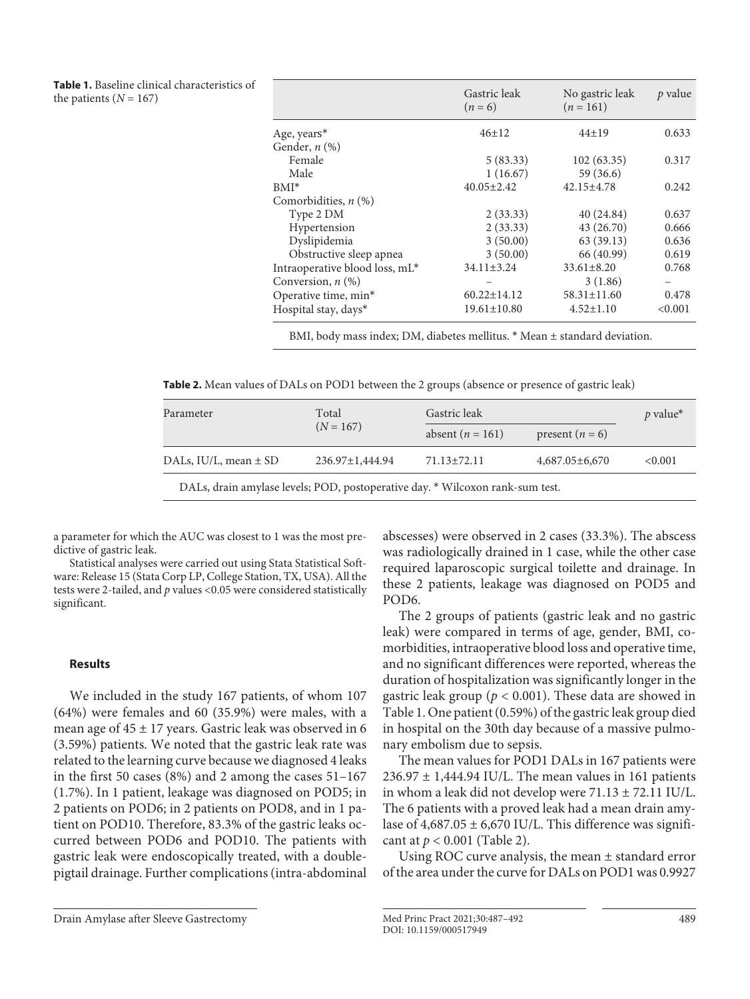**Table 1.** Baseline clinical characteristics of the patients  $(N = 167)$ 

|                                | Gastric leak<br>$(n=6)$ | No gastric leak<br>$(n = 161)$ | p value |
|--------------------------------|-------------------------|--------------------------------|---------|
| Age, years*                    | $46 \pm 12$             | $44\pm19$                      | 0.633   |
| Gender, $n$ $(\%)$             |                         |                                |         |
| Female                         | 5(83.33)                | 102(63.35)                     | 0.317   |
| Male                           | 1(16.67)                | 59 (36.6)                      |         |
| $BMI^*$                        | $40.05 \pm 2.42$        | $42.15 \pm 4.78$               | 0.242   |
| Comorbidities, $n$ (%)         |                         |                                |         |
| Type 2 DM                      | 2(33.33)                | 40 (24.84)                     | 0.637   |
| Hypertension                   | 2(33.33)                | 43 (26.70)                     | 0.666   |
| Dyslipidemia                   | 3(50.00)                | 63(39.13)                      | 0.636   |
| Obstructive sleep apnea        | 3(50.00)                | 66 (40.99)                     | 0.619   |
| Intraoperative blood loss, mL* | $34.11 \pm 3.24$        | $33.61 \pm 8.20$               | 0.768   |
| Conversion, $n$ $(\%)$         |                         | 3(1.86)                        |         |
| Operative time, min*           | $60.22 \pm 14.12$       | $58.31 \pm 11.60$              | 0.478   |
| Hospital stay, days*           | $19.61 \pm 10.80$       | $4.52 \pm 1.10$                | < 0.001 |

BMI, body mass index; DM, diabetes mellitus. \* Mean ± standard deviation.

**Table 2.** Mean values of DALs on POD1 between the 2 groups (absence or presence of gastric leak)

| Parameter                                                                     | Total           | Gastric leak       | $p$ value*           |        |
|-------------------------------------------------------------------------------|-----------------|--------------------|----------------------|--------|
|                                                                               | $(N = 167)$     | absent $(n = 161)$ | present $(n = 6)$    |        |
| DALs, $IU/L$ , mean $\pm$ SD                                                  | 236.97±1,444.94 | $71.13 \pm 72.11$  | $4,687.05 \pm 6,670$ | <0.001 |
| DALs, drain amylase levels; POD, postoperative day. * Wilcoxon rank-sum test. |                 |                    |                      |        |

a parameter for which the AUC was closest to 1 was the most predictive of gastric leak.

Statistical analyses were carried out using Stata Statistical Software: Release 15 (Stata Corp LP, College Station, TX, USA). All the tests were 2-tailed, and *p* values <0.05 were considered statistically significant.

#### **Results**

We included in the study 167 patients, of whom 107 (64%) were females and 60 (35.9%) were males, with a mean age of  $45 \pm 17$  years. Gastric leak was observed in 6 (3.59%) patients. We noted that the gastric leak rate was related to the learning curve because we diagnosed 4 leaks in the first 50 cases (8%) and 2 among the cases 51–167 (1.7%). In 1 patient, leakage was diagnosed on POD5; in 2 patients on POD6; in 2 patients on POD8, and in 1 patient on POD10. Therefore, 83.3% of the gastric leaks occurred between POD6 and POD10. The patients with gastric leak were endoscopically treated, with a doublepigtail drainage. Further complications (intra-abdominal

The 2 groups of patients (gastric leak and no gastric leak) were compared in terms of age, gender, BMI, comorbidities, intraoperative blood loss and operative time, and no significant differences were reported, whereas the duration of hospitalization was significantly longer in the gastric leak group ( $p < 0.001$ ). These data are showed in Table 1. One patient (0.59%) of the gastric leak group died in hospital on the 30th day because of a massive pulmonary embolism due to sepsis.

The mean values for POD1 DALs in 167 patients were  $236.97 \pm 1,444.94$  IU/L. The mean values in 161 patients in whom a leak did not develop were  $71.13 \pm 72.11$  IU/L. The 6 patients with a proved leak had a mean drain amylase of  $4,687.05 \pm 6,670$  IU/L. This difference was significant at *p* < 0.001 (Table 2).

Using ROC curve analysis, the mean ± standard error of the area under the curve for DALs on POD1 was 0.9927

abscesses) were observed in 2 cases (33.3%). The abscess was radiologically drained in 1 case, while the other case required laparoscopic surgical toilette and drainage. In these 2 patients, leakage was diagnosed on POD5 and POD6.

Drain Amylase after Sleeve Gastrectomy Med Princ Pract 2021;30:487–492 489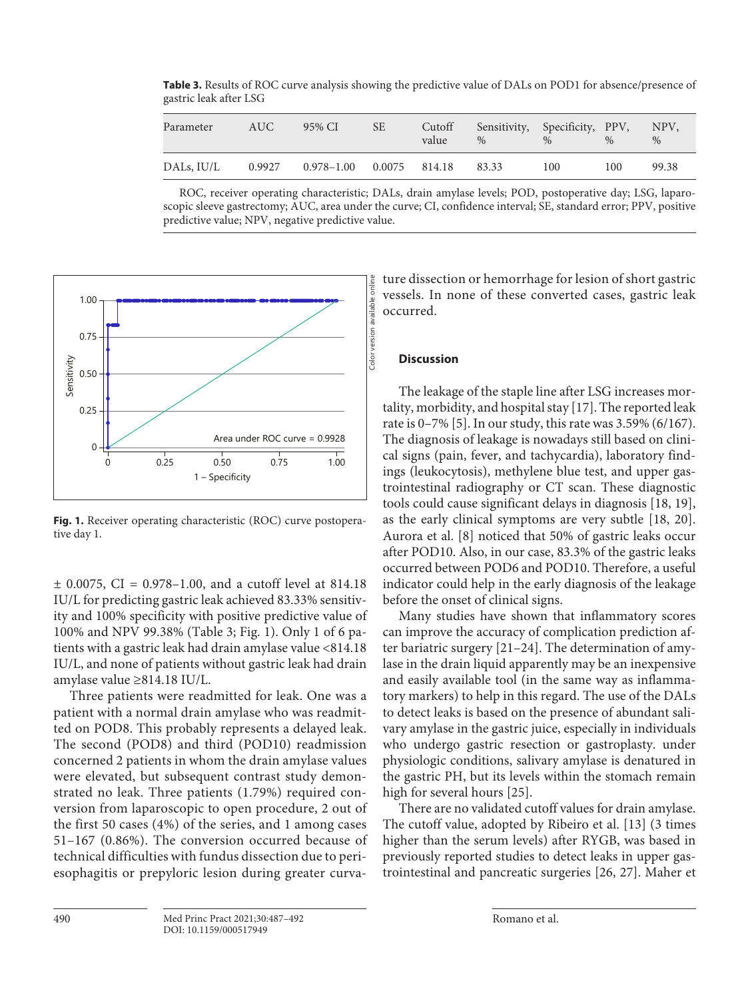**Table 3.** Results of ROC curve analysis showing the predictive value of DALs on POD1 for absence/presence of gastric leak after LSG

| Parameter  | AUC.   | 95% CI                         | <b>SE</b> | Cutoff<br>value | Sensitivity, Specificity, PPV,<br>$\%$ | $\%$ | $\%$ | NPV,<br>$\%$ |
|------------|--------|--------------------------------|-----------|-----------------|----------------------------------------|------|------|--------------|
| DALs, IU/L | 0.9927 | $0.978 - 1.00$ $0.0075$ 814.18 |           |                 | 83.33                                  | 100  | 100  | 99.38        |

ROC, receiver operating characteristic; DALs, drain amylase levels; POD, postoperative day; LSG, laparoscopic sleeve gastrectomy; AUC, area under the curve; CI, confidence interval; SE, standard error; PPV, positive predictive value; NPV, negative predictive value.



**Fig. 1.** Receiver operating characteristic (ROC) curve postoperative day 1.

 $\pm$  0.0075, CI = 0.978-1.00, and a cutoff level at 814.18 IU/L for predicting gastric leak achieved 83.33% sensitivity and 100% specificity with positive predictive value of 100% and NPV 99.38% (Table 3; Fig. 1). Only 1 of 6 patients with a gastric leak had drain amylase value <814.18 IU/L, and none of patients without gastric leak had drain amylase value ≥814.18 IU/L.

Three patients were readmitted for leak. One was a patient with a normal drain amylase who was readmitted on POD8. This probably represents a delayed leak. The second (POD8) and third (POD10) readmission concerned 2 patients in whom the drain amylase values were elevated, but subsequent contrast study demonstrated no leak. Three patients (1.79%) required conversion from laparoscopic to open procedure, 2 out of the first 50 cases (4%) of the series, and 1 among cases 51–167 (0.86%). The conversion occurred because of technical difficulties with fundus dissection due to periesophagitis or prepyloric lesion during greater curvature dissection or hemorrhage for lesion of short gastric vessels. In none of these converted cases, gastric leak occurred.

#### **Discussion**

<span id="page-3-1"></span><span id="page-3-0"></span>The leakage of the staple line after LSG increases mortality, morbidity, and hospital stay [\[1](#page-5-0)[7](#page-5-6)]. The reported leak rate is 0–7% [\[5\]](#page-5-4). In our study, this rate was 3.59% (6/167). The diagnosis of leakage is nowadays still based on clinical signs (pain, fever, and tachycardia), laboratory findings (leukocytosis), methylene blue test, and upper gastrointestinal radiography or CT scan. These diagnostic tools could cause significant delays in diagnosis [\[1](#page-5-0)[8,](#page-5-7) [1](#page-5-0)[9](#page-5-8)], as the early clinical symptoms are very subtle [[1](#page-5-0)[8,](#page-5-7) [2](#page-5-1)0]. Aurora et al. [[8\]](#page-5-7) noticed that 50% of gastric leaks occur after POD10. Also, in our case, 83.3% of the gastric leaks occurred between POD6 and POD10. Therefore, a useful indicator could help in the early diagnosis of the leakage before the onset of clinical signs.

<span id="page-3-2"></span>Many studies have shown that inflammatory scores can improve the accuracy of complication prediction after bariatric surgery [\[2](#page-5-1)[1](#page-5-0)–[2](#page-5-1)[4](#page-5-3)]. The determination of amylase in the drain liquid apparently may be an inexpensive and easily available tool (in the same way as inflammatory markers) to help in this regard. The use of the DALs to detect leaks is based on the presence of abundant salivary amylase in the gastric juice, especially in individuals who undergo gastric resection or gastroplasty. under physiologic conditions, salivary amylase is denatured in the gastric PH, but its levels within the stomach remain high for several hours [\[2](#page-5-1)[5\]](#page-5-4).

There are no validated cutoff values for drain amylase. The cutoff value, adopted by Ribeiro et al. [\[1](#page-5-0)[3\]](#page-5-2) (3 times higher than the serum levels) after RYGB, was based in previously reported studies to detect leaks in upper gastrointestinal and pancreatic surgeries [\[2](#page-5-1)[6,](#page-5-5) [2](#page-5-1)[7\]](#page-5-6). Maher et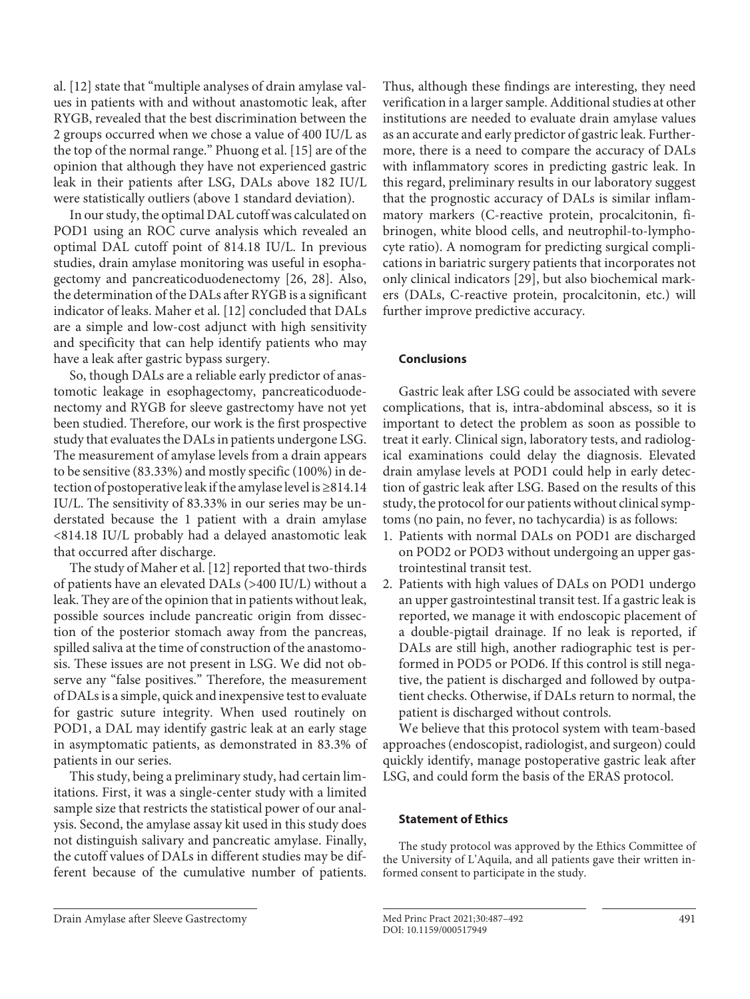al. [[1](#page-5-0)[2](#page-5-1)] state that "multiple analyses of drain amylase values in patients with and without anastomotic leak, after RYGB, revealed that the best discrimination between the 2 groups occurred when we chose a value of 400 IU/L as the top of the normal range." Phuong et al. [\[1](#page-5-0)[5\]](#page-5-4) are of the opinion that although they have not experienced gastric leak in their patients after LSG, DALs above 182 IU/L were statistically outliers (above 1 standard deviation).

In our study, the optimal DAL cutoff was calculated on POD1 using an ROC curve analysis which revealed an optimal DAL cutoff point of 814.18 IU/L. In previous studies, drain amylase monitoring was useful in esophagectomy and pancreaticoduodenectomy [\[2](#page-5-1)[6](#page-5-5), [2](#page-5-1)[8](#page-5-7)]. Also, the determination of the DALs after RYGB is a significant indicator of leaks. Maher et al. [\[1](#page-5-0)[2\]](#page-5-1) concluded that DALs are a simple and low-cost adjunct with high sensitivity and specificity that can help identify patients who may have a leak after gastric bypass surgery.

So, though DALs are a reliable early predictor of anastomotic leakage in esophagectomy, pancreaticoduodenectomy and RYGB for sleeve gastrectomy have not yet been studied. Therefore, our work is the first prospective study that evaluates the DALs in patients undergone LSG. The measurement of amylase levels from a drain appears to be sensitive (83.33%) and mostly specific (100%) in detection of postoperative leak if the amylase level is ≥814.14 IU/L. The sensitivity of 83.33% in our series may be understated because the 1 patient with a drain amylase <814.18 IU/L probably had a delayed anastomotic leak that occurred after discharge.

The study of Maher et al. [[1](#page-5-0)[2](#page-5-1)] reported that two-thirds of patients have an elevated DALs (>400 IU/L) without a leak. They are of the opinion that in patients without leak, possible sources include pancreatic origin from dissection of the posterior stomach away from the pancreas, spilled saliva at the time of construction of the anastomosis. These issues are not present in LSG. We did not observe any "false positives." Therefore, the measurement of DALs is a simple, quick and inexpensive test to evaluate for gastric suture integrity. When used routinely on POD1, a DAL may identify gastric leak at an early stage in asymptomatic patients, as demonstrated in 83.3% of patients in our series.

This study, being a preliminary study, had certain limitations. First, it was a single-center study with a limited sample size that restricts the statistical power of our analysis. Second, the amylase assay kit used in this study does not distinguish salivary and pancreatic amylase. Finally, the cutoff values of DALs in different studies may be different because of the cumulative number of patients.

Thus, although these findings are interesting, they need verification in a larger sample. Additional studies at other institutions are needed to evaluate drain amylase values as an accurate and early predictor of gastric leak. Furthermore, there is a need to compare the accuracy of DALs with inflammatory scores in predicting gastric leak. In this regard, preliminary results in our laboratory suggest that the prognostic accuracy of DALs is similar inflammatory markers (C-reactive protein, procalcitonin, fibrinogen, white blood cells, and neutrophil-to-lymphocyte ratio). A nomogram for predicting surgical complications in bariatric surgery patients that incorporates not only clinical indicators [[2](#page-5-1)[9](#page-5-8)], but also biochemical markers (DALs, C-reactive protein, procalcitonin, etc.) will further improve predictive accuracy.

# **Conclusions**

Gastric leak after LSG could be associated with severe complications, that is, intra-abdominal abscess, so it is important to detect the problem as soon as possible to treat it early. Clinical sign, laboratory tests, and radiological examinations could delay the diagnosis. Elevated drain amylase levels at POD1 could help in early detection of gastric leak after LSG. Based on the results of this study, the protocol for our patients without clinical symptoms (no pain, no fever, no tachycardia) is as follows:

- 1. Patients with normal DALs on POD1 are discharged on POD2 or POD3 without undergoing an upper gastrointestinal transit test.
- 2. Patients with high values of DALs on POD1 undergo an upper gastrointestinal transit test. If a gastric leak is reported, we manage it with endoscopic placement of a double-pigtail drainage. If no leak is reported, if DALs are still high, another radiographic test is performed in POD5 or POD6. If this control is still negative, the patient is discharged and followed by outpatient checks. Otherwise, if DALs return to normal, the patient is discharged without controls.

We believe that this protocol system with team-based approaches (endoscopist, radiologist, and surgeon) could quickly identify, manage postoperative gastric leak after LSG, and could form the basis of the ERAS protocol.

# **Statement of Ethics**

The study protocol was approved by the Ethics Committee of the University of L'Aquila, and all patients gave their written informed consent to participate in the study.

Drain Amylase after Sleeve Gastrectomy Med Princ Pract 2021;30:487–492 491